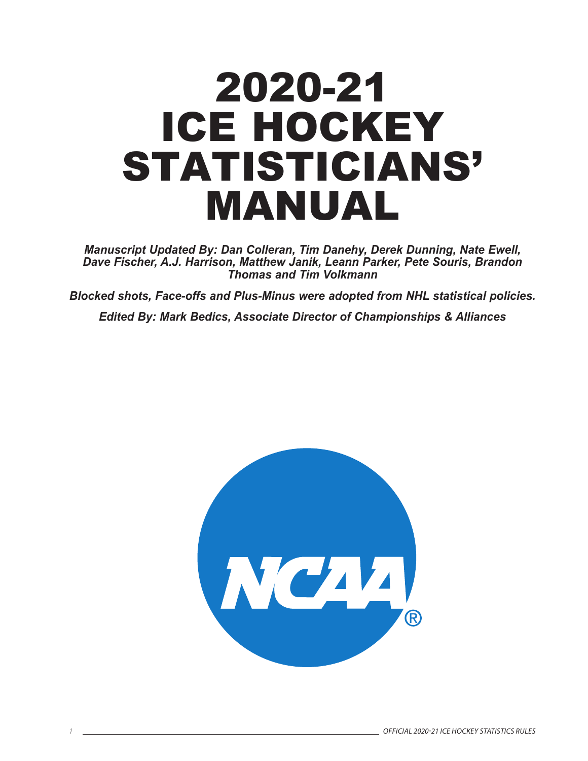# 2020-21 ICE HOCKEY STATISTICIANS' MANUAL

*Manuscript Updated By: Dan Colleran, Tim Danehy, Derek Dunning, Nate Ewell, Dave Fischer, A.J. Harrison, Matthew Janik, Leann Parker, Pete Souris, Brandon Thomas and Tim Volkmann*

*Blocked shots, Face-offs and Plus-Minus were adopted from NHL statistical policies.*

*Edited By: Mark Bedics, Associate Director of Championships & Alliances*

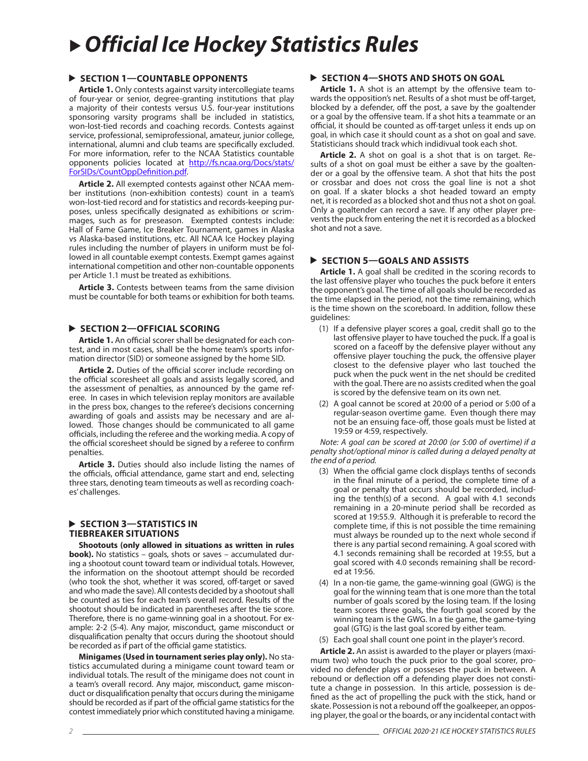## *Official Ice Hockey Statistics Rules*

#### **SECTION 1—COUNTABLE OPPONENTS**

**Article 1.** Only contests against varsity intercollegiate teams of four-year or senior, degree-granting institutions that play a majority of their contests versus U.S. four-year institutions sponsoring varsity programs shall be included in statistics, won-lost-tied records and coaching records. Contests against service, professional, semiprofessional, amateur, junior college, international, alumni and club teams are specifically excluded. For more information, refer to the NCAA Statistics countable opponents policies located at http://fs.ncaa.org/Docs/stats/ ForSIDs/CountOppDefinition.pdf.

**Article 2.** All exempted contests against other NCAA member institutions (non-exhibition contests) count in a team's won-lost-tied record and for statistics and records-keeping purposes, unless specifically designated as exhibitions or scrimmages, such as for preseason. Exempted contests include: Hall of Fame Game, Ice Breaker Tournament, games in Alaska vs Alaska-based institutions, etc. All NCAA Ice Hockey playing rules including the number of players in uniform must be followed in all countable exempt contests. Exempt games against international competition and other non-countable opponents per Article 1.1 must be treated as exhibitions.

**Article 3.** Contests between teams from the same division must be countable for both teams or exhibition for both teams.

#### **SECTION 2—OFFICIAL SCORING**

**Article 1.** An official scorer shall be designated for each contest, and in most cases, shall be the home team's sports information director (SID) or someone assigned by the home SID.

**Article 2.** Duties of the official scorer include recording on the official scoresheet all goals and assists legally scored, and the assessment of penalties, as announced by the game referee. In cases in which television replay monitors are available in the press box, changes to the referee's decisions concerning awarding of goals and assists may be necessary and are allowed. Those changes should be communicated to all game officials, including the referee and the working media. A copy of the official scoresheet should be signed by a referee to confirm penalties.

**Article 3.** Duties should also include listing the names of the officials, official attendance, game start and end, selecting three stars, denoting team timeouts as well as recording coaches' challenges.

#### **SECTION 3-STATISTICS IN TIEBREAKER SITUATIONS**

**Shootouts (only allowed in situations as written in rules book).** No statistics - goals, shots or saves - accumulated during a shootout count toward team or individual totals. However, the information on the shootout attempt should be recorded (who took the shot, whether it was scored, off-target or saved and who made the save). All contests decided by a shootout shall be counted as ties for each team's overall record. Results of the shootout should be indicated in parentheses after the tie score. Therefore, there is no game-winning goal in a shootout. For example: 2-2 (5-4). Any major, misconduct, game misconduct or disqualification penalty that occurs during the shootout should be recorded as if part of the official game statistics.

**Minigames (Used in tournament series play only).** No statistics accumulated during a minigame count toward team or individual totals. The result of the minigame does not count in a team's overall record. Any major, misconduct, game misconduct or disqualification penalty that occurs during the minigame should be recorded as if part of the official game statistics for the contest immediately prior which constituted having a minigame.

#### **SECTION 4-SHOTS AND SHOTS ON GOAL**

**Article 1.** A shot is an attempt by the offensive team towards the opposition's net. Results of a shot must be off-target, blocked by a defender, off the post, a save by the goaltender or a goal by the offensive team. If a shot hits a teammate or an official, it should be counted as off-target unless it ends up on goal, in which case it should count as a shot on goal and save. Statisticians should track which indidivual took each shot.

**Article 2.** A shot on goal is a shot that is on target. Results of a shot on goal must be either a save by the goaltender or a goal by the offensive team. A shot that hits the post or crossbar and does not cross the goal line is not a shot on goal. If a skater blocks a shot headed toward an empty net, it is recorded as a blocked shot and thus not a shot on goal. Only a goaltender can record a save. If any other player prevents the puck from entering the net it is recorded as a blocked shot and not a save.

#### **SECTION 5—GOALS AND ASSISTS**

**Article 1.** A goal shall be credited in the scoring records to the last offensive player who touches the puck before it enters the opponent's goal. The time of all goals should be recorded as the time elapsed in the period, not the time remaining, which is the time shown on the scoreboard. In addition, follow these guidelines:

- (1) If a defensive player scores a goal, credit shall go to the last offensive player to have touched the puck. If a goal is scored on a faceoff by the defensive player without any offensive player touching the puck, the offensive player closest to the defensive player who last touched the puck when the puck went in the net should be credited with the goal. There are no assists credited when the goal is scored by the defensive team on its own net.
- (2) A goal cannot be scored at 20:00 of a period or 5:00 of a regular-season overtime game. Even though there may not be an ensuing face-off, those goals must be listed at 19:59 or 4:59, respectively.

*Note: A goal can be scored at 20:00 (or 5:00 of overtime) if a penalty shot/optional minor is called during a delayed penalty at the end of a period.*

- (3) When the official game clock displays tenths of seconds in the final minute of a period, the complete time of a goal or penalty that occurs should be recorded, including the tenth(s) of a second. A goal with 4.1 seconds remaining in a 20-minute period shall be recorded as scored at 19:55.9. Although it is preferable to record the complete time, if this is not possible the time remaining must always be rounded up to the next whole second if there is any partial second remaining. A goal scored with 4.1 seconds remaining shall be recorded at 19:55, but a goal scored with 4.0 seconds remaining shall be recorded at 19:56.
- (4) In a non-tie game, the game-winning goal (GWG) is the goal for the winning team that is one more than the total number of goals scored by the losing team. If the losing team scores three goals, the fourth goal scored by the winning team is the GWG. In a tie game, the game-tying goal (GTG) is the last goal scored by either team.
- (5) Each goal shall count one point in the player's record.

**Article 2.** An assist is awarded to the player or players (maximum two) who touch the puck prior to the goal scorer, provided no defender plays or posseses the puck in between. A rebound or deflection off a defending player does not constitute a change in possession. In this article, possession is defined as the act of propelling the puck with the stick, hand or skate. Possession is not a rebound off the goalkeeper, an opposing player, the goal or the boards, or any incidental contact with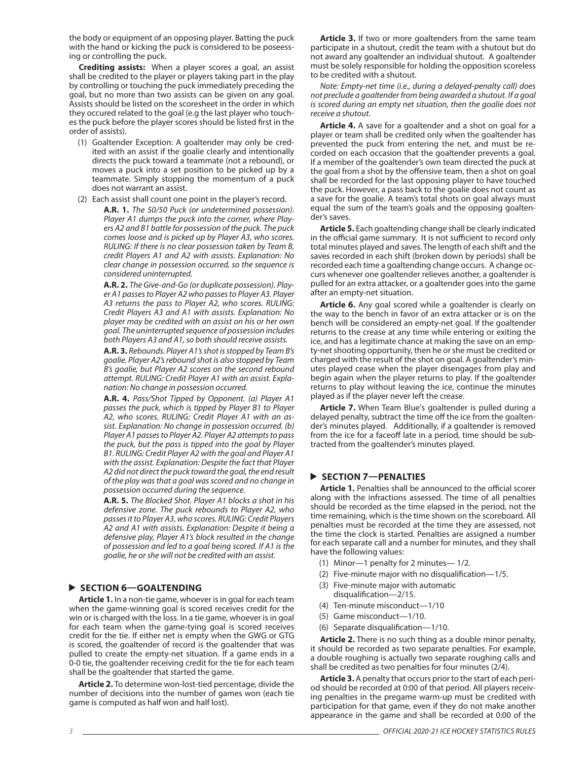the body or equipment of an opposing player. Batting the puck with the hand or kicking the puck is considered to be poseessing or controlling the puck.

**Crediting assists:** When a player scores a goal, an assist shall be credited to the player or players taking part in the play by controlling or touching the puck immediately preceding the goal, but no more than two assists can be given on any goal. Assists should be listed on the scoresheet in the order in which they occured related to the goal (e.g the last player who touches the puck before the player scores should be listed first in the order of assists).

- (1) Goaltender Exception: A goaltender may only be credited with an assist if the goalie clearly and intentionally directs the puck toward a teammate (not a rebound), or moves a puck into a set position to be picked up by a teammate. Simply stopping the momentum of a puck does not warrant an assist.
- (2) Each assist shall count one point in the player's record.
	- **A.R. 1.** *The 50/50 Puck (or undetermined possession). Player A1 dumps the puck into the corner, where Players A2 and B1 battle for possession of the puck. The puck comes loose and is picked up by Player A3, who scores. RULING: If there is no clear possession taken by Team B, credit Players A1 and A2 with assists. Explanation: No clear change in possession occurred, so the sequence is considered uninterrupted.*

 **A.R. 2.** *The Give-and-Go (or duplicate possession). Player A1 passes to Player A2 who passes to Player A3. Player A3 returns the pass to Player A2, who scores. RULING: Credit Players A3 and A1 with assists. Explanation: No player may be credited with an assist on his or her own goal. The uninterrupted sequence of possession includes both Players A3 and A1, so both should receive assists.*

 **A.R. 3.** *Rebounds. Player A1's shot is stopped by Team B's goalie. Player A2's rebound shot is also stopped by Team B's goalie, but Player A2 scores on the second rebound attempt. RULING: Credit Player A1 with an assist. Explanation: No change in possession occurred.* 

 **A.R. 4.** *Pass/Shot Tipped by Opponent. (a) Player A1 passes the puck, which is tipped by Player B1 to Player A2, who scores. RULING: Credit Player A1 with an assist. Explanation: No change in possession occurred. (b) Player A1 passes to Player A2. Player A2 attempts to pass the puck, but the pass is tipped into the goal by Player B1. RULING: Credit Player A2 with the goal and Player A1 with the assist. Explanation: Despite the fact that Player A2 did not direct the puck toward the goal, the end result of the play was that a goal was scored and no change in possession occurred during the sequence.* 

 **A.R. 5.** *The Blocked Shot. Player A1 blocks a shot in his defensive zone. The puck rebounds to Player A2, who passes it to Player A3, who scores. RULING: Credit Players A2 and A1 with assists. Explanation: Despite it being a defensive play, Player A1's block resulted in the change of possession and led to a goal being scored. If A1 is the goalie, he or she will not be credited with an assist.*

#### **SECTION 6—GOALTENDING**

**Article 1.** In a non-tie game, whoever is in goal for each team when the game-winning goal is scored receives credit for the win or is charged with the loss. In a tie game, whoever is in goal for each team when the game-tying goal is scored receives credit for the tie. If either net is empty when the GWG or GTG is scored, the goaltender of record is the goaltender that was pulled to create the empty-net situation. If a game ends in a 0-0 tie, the goaltender receiving credit for the tie for each team shall be the goaltender that started the game.

**Article 2.** To determine won-lost-tied percentage, divide the number of decisions into the number of games won (each tie game is computed as half won and half lost).

**Article 3.** If two or more goaltenders from the same team participate in a shutout, credit the team with a shutout but do not award any goaltender an individual shutout. A goaltender must be solely responsible for holding the opposition scoreless to be credited with a shutout.

*Note: Empty-net time (i.e., during a delayed-penalty call) does not preclude a goaltender from being awarded a shutout. If a goal is scored during an empty net situation, then the goalie does not receive a shutout.*

**Article 4.** A save for a goaltender and a shot on goal for a player or team shall be credited only when the goaltender has prevented the puck from entering the net, and must be recorded on each occasion that the goaltender prevents a goal. If a member of the goaltender's own team directed the puck at the goal from a shot by the offensive team, then a shot on goal shall be recorded for the last opposing player to have touched the puck. However, a pass back to the goalie does not count as a save for the goalie. A team's total shots on goal always must equal the sum of the team's goals and the opposing goaltender's saves.

**Article 5.** Each goaltending change shall be clearly indicated in the official game summary. It is not sufficient to record only total minutes played and saves. The length of each shift and the saves recorded in each shift (broken down by periods) shall be recorded each time a goaltending change occurs. A change occurs whenever one goaltender relieves another, a goaltender is pulled for an extra attacker, or a goaltender goes into the game after an empty-net situation.

**Article 6.** Any goal scored while a goaltender is clearly on the way to the bench in favor of an extra attacker or is on the bench will be considered an empty-net goal. If the goaltender returns to the crease at any time while entering or exiting the ice, and has a legitimate chance at making the save on an empty-net shooting opportunity, then he or she must be credited or charged with the result of the shot on goal. A goaltender's minutes played cease when the player disengages from play and begin again when the player returns to play. If the goaltender returns to play without leaving the ice, continue the minutes played as if the player never left the crease.

**Article 7.** When Team Blue's goaltender is pulled during a delayed penalty, subtract the time off the ice from the goaltender's minutes played. Additionally, if a goaltender is removed from the ice for a faceoff late in a period, time should be subtracted from the goaltender's minutes played.

#### **SECTION 7—PENALTIES**

**Article 1.** Penalties shall be announced to the official scorer along with the infractions assessed. The time of all penalties should be recorded as the time elapsed in the period, not the time remaining, which is the time shown on the scoreboard. All penalties must be recorded at the time they are assessed, not the time the clock is started. Penalties are assigned a number for each separate call and a number for minutes, and they shall have the following values:

- (1) Minor—1 penalty for 2 minutes— 1/2.
- (2) Five-minute major with no disqualification—1/5.
- (3) Five-minute major with automatic disqualification—2/15.
- (4) Ten-minute misconduct—1/10
- (5) Game misconduct—1/10.
- (6) Separate disqualification—1/10.

**Article 2.** There is no such thing as a double minor penalty, it should be recorded as two separate penalties. For example, a double roughing is actually two separate roughing calls and shall be credited as two penalties for four minutes (2/4).

**Article 3.** A penalty that occurs prior to the start of each period should be recorded at 0:00 of that period. All players receiving penalties in the pregame warm-up must be credited with participation for that game, even if they do not make another appearance in the game and shall be recorded at 0:00 of the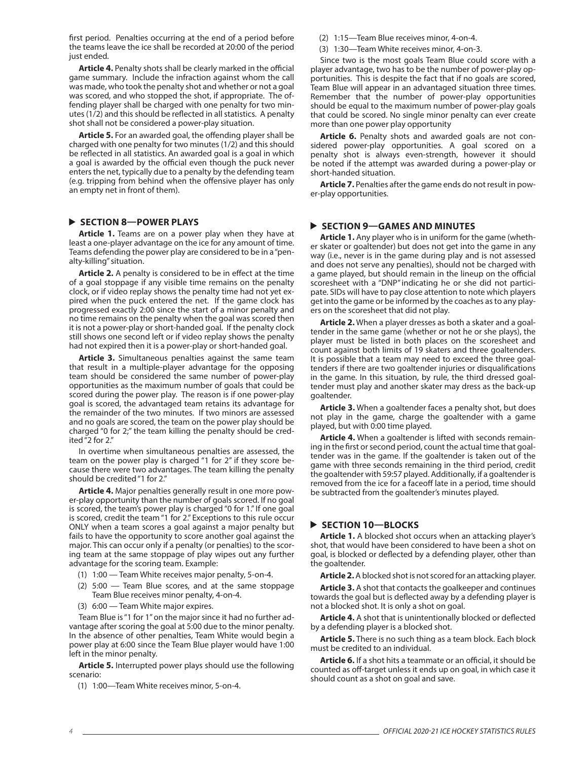first period. Penalties occurring at the end of a period before the teams leave the ice shall be recorded at 20:00 of the period just ended.

**Article 4.** Penalty shots shall be clearly marked in the official game summary. Include the infraction against whom the call was made, who took the penalty shot and whether or not a goal was scored, and who stopped the shot, if appropriate. The offending player shall be charged with one penalty for two minutes (1/2) and this should be reflected in all statistics. A penalty shot shall not be considered a power-play situation.

**Article 5.** For an awarded goal, the offending player shall be charged with one penalty for two minutes (1/2) and this should be reflected in all statistics. An awarded goal is a goal in which a goal is awarded by the official even though the puck never enters the net, typically due to a penalty by the defending team (e.g. tripping from behind when the offensive player has only an empty net in front of them).

#### **SECTION 8—POWER PLAYS**

**Article 1.** Teams are on a power play when they have at least a one-player advantage on the ice for any amount of time. Teams defending the power play are considered to be in a "penalty-killing" situation.

**Article 2.** A penalty is considered to be in effect at the time of a goal stoppage if any visible time remains on the penalty clock, or if video replay shows the penalty time had not yet expired when the puck entered the net. If the game clock has progressed exactly 2:00 since the start of a minor penalty and no time remains on the penalty when the goal was scored then it is not a power-play or short-handed goal. If the penalty clock still shows one second left or if video replay shows the penalty had not expired then it is a power-play or short-handed goal.

**Article 3.** Simultaneous penalties against the same team that result in a multiple-player advantage for the opposing team should be considered the same number of power-play opportunities as the maximum number of goals that could be scored during the power play. The reason is if one power-play goal is scored, the advantaged team retains its advantage for the remainder of the two minutes. If two minors are assessed and no goals are scored, the team on the power play should be charged "0 for 2;" the team killing the penalty should be credited "2 for 2."

In overtime when simultaneous penalties are assessed, the team on the power play is charged "1 for 2" if they score because there were two advantages. The team killing the penalty should be credited "1 for 2."

**Article 4.** Major penalties generally result in one more power-play opportunity than the number of goals scored. If no goal is scored, the team's power play is charged "0 for 1." If one goal is scored, credit the team "1 for 2." Exceptions to this rule occur ONLY when a team scores a goal against a major penalty but fails to have the opportunity to score another goal against the major. This can occur only if a penalty (or penalties) to the scoring team at the same stoppage of play wipes out any further advantage for the scoring team. Example:

- (1) 1:00 Team White receives major penalty, 5-on-4.
- (2) 5:00 Team Blue scores, and at the same stoppage Team Blue receives minor penalty, 4-on-4.
- (3) 6:00 Team White major expires.

Team Blue is "1 for 1"on the major since it had no further advantage after scoring the goal at 5:00 due to the minor penalty. In the absence of other penalties, Team White would begin a power play at 6:00 since the Team Blue player would have 1:00 left in the minor penalty.

**Article 5.** Interrupted power plays should use the following scenario:

(1) 1:00—Team White receives minor, 5-on-4.

(2) 1:15—Team Blue receives minor, 4-on-4.

(3) 1:30—Team White receives minor, 4-on-3.

Since two is the most goals Team Blue could score with a player advantage, two has to be the number of power-play opportunities. This is despite the fact that if no goals are scored, Team Blue will appear in an advantaged situation three times. Remember that the number of power-play opportunities should be equal to the maximum number of power-play goals that could be scored. No single minor penalty can ever create more than one power play opportunity

**Article 6.** Penalty shots and awarded goals are not considered power-play opportunities. A goal scored on a penalty shot is always even-strength, however it should be noted if the attempt was awarded during a power-play or short-handed situation.

**Article 7.** Penalties after the game ends do not result in power-play opportunities.

#### **SECTION 9—GAMES AND MINUTES**

**Article 1.** Any player who is in uniform for the game (whether skater or goaltender) but does not get into the game in any way (i.e., never is in the game during play and is not assessed and does not serve any penalties), should not be charged with a game played, but should remain in the lineup on the official scoresheet with a "DNP"indicating he or she did not participate. SIDs will have to pay close attention to note which players get into the game or be informed by the coaches as to any players on the scoresheet that did not play.

**Article 2.** When a player dresses as both a skater and a goaltender in the same game (whether or not he or she plays), the player must be listed in both places on the scoresheet and count against both limits of 19 skaters and three goaltenders. It is possible that a team may need to exceed the three goaltenders if there are two goaltender injuries or disqualifications in the game. In this situation, by rule, the third dressed goaltender must play and another skater may dress as the back-up goaltender.

**Article 3.** When a goaltender faces a penalty shot, but does not play in the game, charge the goaltender with a game played, but with 0:00 time played.

**Article 4.** When a goaltender is lifted with seconds remaining in the first or second period, count the actual time that goaltender was in the game. If the goaltender is taken out of the game with three seconds remaining in the third period, credit the goaltender with 59:57 played. Additionally, if a goaltender is removed from the ice for a faceoff late in a period, time should be subtracted from the goaltender's minutes played.

#### **SECTION 10—BLOCKS**

**Article 1.** A blocked shot occurs when an attacking player's shot, that would have been considered to have been a shot on goal, is blocked or deflected by a defending player, other than the goaltender.

**Article 2.** A blocked shot is not scored for an attacking player.

**Article 3.** A shot that contacts the goalkeeper and continues towards the goal but is deflected away by a defending player is not a blocked shot. It is only a shot on goal.

**Article 4.** A shot that is unintentionally blocked or deflected by a defending player is a blocked shot.

**Article 5.** There is no such thing as a team block. Each block must be credited to an individual.

**Article 6.** If a shot hits a teammate or an official, it should be counted as off-target unless it ends up on goal, in which case it should count as a shot on goal and save.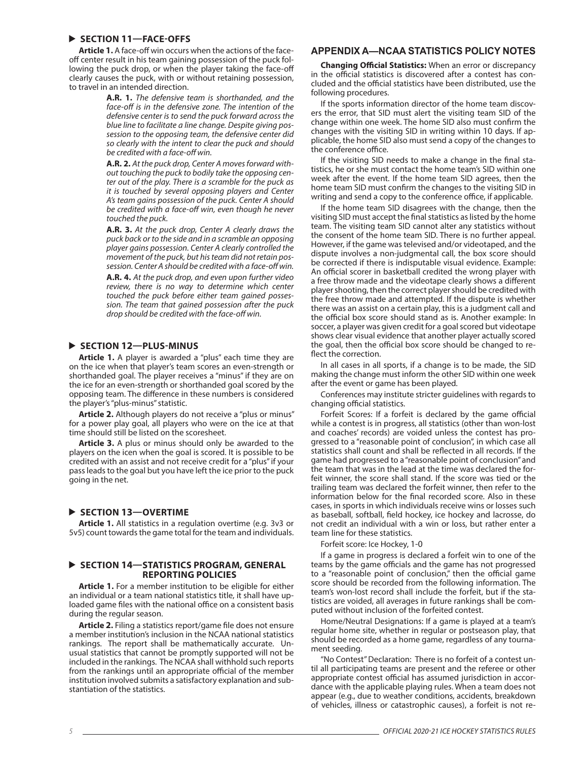#### **SECTION 11—FACE-OFFS**

**Article 1.** A face-off win occurs when the actions of the faceoff center result in his team gaining possession of the puck following the puck drop, or when the player taking the face-off clearly causes the puck, with or without retaining possession, to travel in an intended direction.

> **A.R. 1.** *The defensive team is shorthanded, and the face-off is in the defensive zone. The intention of the defensive center is to send the puck forward across the blue line to facilitate a line change. Despite giving possession to the opposing team, the defensive center did so clearly with the intent to clear the puck and should be credited with a face-off win.*

> **A.R. 2.** *At the puck drop, Center A moves forward without touching the puck to bodily take the opposing center out of the play. There is a scramble for the puck as it is touched by several opposing players and Center A's team gains possession of the puck. Center A should be credited with a face-off win, even though he never touched the puck.*

> **A.R. 3.** *At the puck drop, Center A clearly draws the puck back or to the side and in a scramble an opposing player gains possession. Center A clearly controlled the movement of the puck, but his team did not retain possession. Center A should be credited with a face-off win.*

> **A.R. 4.** *At the puck drop, and even upon further video review, there is no way to determine which center touched the puck before either team gained possession. The team that gained possession after the puck drop should be credited with the face-off win.*

#### **SECTION 12—PLUS-MINUS**

**Article 1.** A player is awarded a "plus" each time they are on the ice when that player's team scores an even-strength or shorthanded goal. The player receives a "minus" if they are on the ice for an even-strength or shorthanded goal scored by the opposing team. The difference in these numbers is considered the player's "plus-minus" statistic.

**Article 2.** Although players do not receive a "plus or minus" for a power play goal, all players who were on the ice at that time should still be listed on the scoresheet.

**Article 3.** A plus or minus should only be awarded to the players on the icen when the goal is scored. It is possible to be credited with an assist and not receive credit for a "plus" if your pass leads to the goal but you have left the ice prior to the puck going in the net.

#### **SECTION 13—OVERTIME**

**Article 1.** All statistics in a regulation overtime (e.g. 3v3 or 5v5) count towards the game total for the team and individuals.

#### **SECTION 14—STATISTICS PROGRAM, GENERAL REPORTING POLICIES**

**Article 1.** For a member institution to be eligible for either an individual or a team national statistics title, it shall have uploaded game files with the national office on a consistent basis during the regular season.

**Article 2.** Filing a statistics report/game file does not ensure a member institution's inclusion in the NCAA national statistics rankings. The report shall be mathematically accurate. Unusual statistics that cannot be promptly supported will not be included in the rankings. The NCAA shall withhold such reports from the rankings until an appropriate official of the member institution involved submits a satisfactory explanation and substantiation of the statistics.

#### **APPENDIX A—NCAA STATISTICS POLICY NOTES**

**Changing Official Statistics:** When an error or discrepancy in the official statistics is discovered after a contest has concluded and the official statistics have been distributed, use the following procedures.

If the sports information director of the home team discovers the error, that SID must alert the visiting team SID of the change within one week. The home SID also must confirm the changes with the visiting SID in writing within 10 days. If applicable, the home SID also must send a copy of the changes to the conference office.

If the visiting SID needs to make a change in the final statistics, he or she must contact the home team's SID within one week after the event. If the home team SID agrees, then the home team SID must confirm the changes to the visiting SID in writing and send a copy to the conference office, if applicable.

If the home team SID disagrees with the change, then the visiting SID must accept the final statistics as listed by the home team. The visiting team SID cannot alter any statistics without the consent of the home team SID. There is no further appeal. However, if the game was televised and/or videotaped, and the dispute involves a non-judgmental call, the box score should be corrected if there is indisputable visual evidence. Example: An official scorer in basketball credited the wrong player with a free throw made and the videotape clearly shows a different player shooting, then the correct player should be credited with the free throw made and attempted. If the dispute is whether there was an assist on a certain play, this is a judgment call and the official box score should stand as is. Another example: In soccer, a player was given credit for a goal scored but videotape shows clear visual evidence that another player actually scored the goal, then the official box score should be changed to reflect the correction.

In all cases in all sports, if a change is to be made, the SID making the change must inform the other SID within one week after the event or game has been played.

Conferences may institute stricter guidelines with regards to changing official statistics.

Forfeit Scores: If a forfeit is declared by the game official while a contest is in progress, all statistics (other than won-lost and coaches' records) are voided unless the contest has progressed to a "reasonable point of conclusion", in which case all statistics shall count and shall be reflected in all records. If the game had progressed to a "reasonable point of conclusion" and the team that was in the lead at the time was declared the forfeit winner, the score shall stand. If the score was tied or the trailing team was declared the forfeit winner, then refer to the information below for the final recorded score. Also in these cases, in sports in which individuals receive wins or losses such as baseball, softball, field hockey, ice hockey and lacrosse, do not credit an individual with a win or loss, but rather enter a team line for these statistics.

Forfeit score: Ice Hockey, 1-0

If a game in progress is declared a forfeit win to one of the teams by the game officials and the game has not progressed to a "reasonable point of conclusion," then the official game score should be recorded from the following information. The team's won-lost record shall include the forfeit, but if the statistics are voided, all averages in future rankings shall be computed without inclusion of the forfeited contest.

Home/Neutral Designations: If a game is played at a team's regular home site, whether in regular or postseason play, that should be recorded as a home game, regardless of any tournament seeding.

"No Contest" Declaration: There is no forfeit of a contest until all participating teams are present and the referee or other appropriate contest official has assumed jurisdiction in accordance with the applicable playing rules. When a team does not appear (e.g., due to weather conditions, accidents, breakdown of vehicles, illness or catastrophic causes), a forfeit is not re